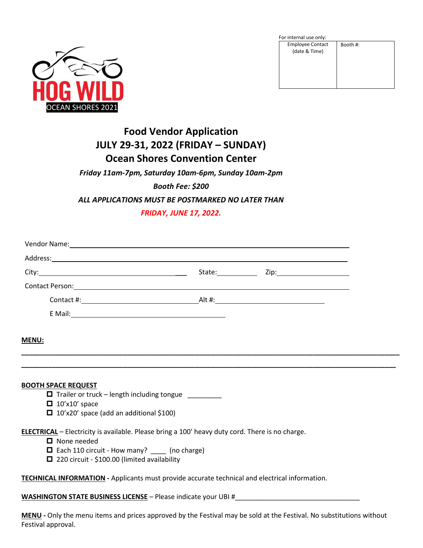

For internal use only:

| TUI IIIteriidi use UIIIV.                |          |
|------------------------------------------|----------|
| <b>Employee Contact</b><br>(date & Time) | Booth #: |
|                                          |          |

# **Food Vendor Application JULY 29-31, 2022 (FRIDAY – SUNDAY) Ocean Shores Convention Center**

## *Friday 11am-7pm, Saturday 10am-6pm, Sunday 10am-2pm*

## *Booth Fee: \$200*

### *ALL APPLICATIONS MUST BE POSTMARKED NO LATER THAN*

## *FRIDAY, JUNE 17, 2022.*

| Vendor Name: 1988 and 2008 and 2008 and 2008 and 2008 and 2008 and 2008 and 2008 and 2008 and 2008 and 2008 and 2008 and 2008 and 2008 and 2008 and 2008 and 2008 and 2008 and 2008 and 2008 and 2008 and 2008 and 2008 and 20      |                                  |  |
|-------------------------------------------------------------------------------------------------------------------------------------------------------------------------------------------------------------------------------------|----------------------------------|--|
| Address: <u>Address:</u> Address: Address: Address: Address: Address: Address: Address: Address: Address: Address: Address: Address: Address: Address: Address: Address: Address: Address: Address: Address: Address: Address: Addr |                                  |  |
|                                                                                                                                                                                                                                     | State: <u>Union Zip: Zip: 21</u> |  |
| Contact Person: 1999 Contact Person: 1999 Contact Person: 1999 Contact Person: 1999 Contact Person: 1999 Conta                                                                                                                      |                                  |  |
|                                                                                                                                                                                                                                     |                                  |  |
|                                                                                                                                                                                                                                     |                                  |  |
|                                                                                                                                                                                                                                     |                                  |  |
| <b>MENU:</b>                                                                                                                                                                                                                        |                                  |  |
|                                                                                                                                                                                                                                     |                                  |  |
|                                                                                                                                                                                                                                     |                                  |  |
| <b>BOOTH SPACE REQUEST</b>                                                                                                                                                                                                          |                                  |  |
| Trailer or truck - length including tongue _______                                                                                                                                                                                  |                                  |  |
| $\Box$ 10'x10' space<br>$\Box$ 10'x20' space (add an additional \$100)                                                                                                                                                              |                                  |  |
|                                                                                                                                                                                                                                     |                                  |  |
| <b>ELECTRICAL</b> - Electricity is available. Please bring a 100' heavy duty cord. There is no charge.                                                                                                                              |                                  |  |
| $\Box$ None needed<br>□ Each 110 circuit - How many? _____ (no charge)                                                                                                                                                              |                                  |  |
| □ 220 circuit - \$100.00 (limited availability                                                                                                                                                                                      |                                  |  |
|                                                                                                                                                                                                                                     |                                  |  |
| TECHNICAL INFORMATION - Applicants must provide accurate technical and electrical information.                                                                                                                                      |                                  |  |
| <b>WASHINGTON STATE BUSINESS LICENSE -</b> Please indicate your UBI #                                                                                                                                                               |                                  |  |
|                                                                                                                                                                                                                                     |                                  |  |

**MENU -** Only the menu items and prices approved by the Festival may be sold at the Festival. No substitutions without Festival approval.